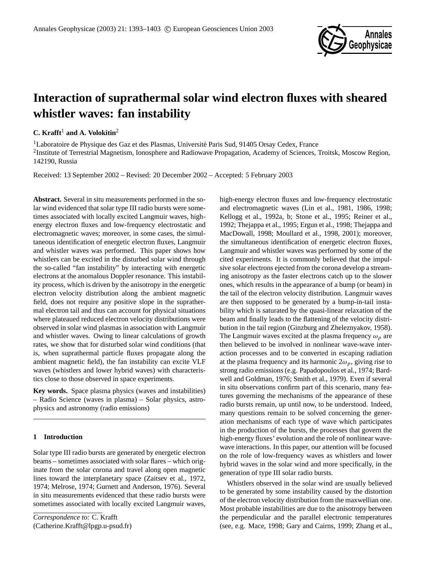

# **Interaction of suprathermal solar wind electron fluxes with sheared whistler waves: fan instability**

# **C.** Krafft<sup>1</sup> and A. Volokitin<sup>2</sup>

<sup>1</sup>Laboratoire de Physique des Gaz et des Plasmas, Université Paris Sud, 91405 Orsay Cedex, France <sup>2</sup>Institute of Terrestrial Magnetism, Ionosphere and Radiowave Propagation, Academy of Sciences, Troitsk, Moscow Region, 142190, Russia

Received: 13 September 2002 – Revised: 20 December 2002 – Accepted: 5 February 2003

**Abstract.** Several in situ measurements performed in the solar wind evidenced that solar type III radio bursts were sometimes associated with locally excited Langmuir waves, highenergy electron fluxes and low-frequency electrostatic and electromagnetic waves; moreover, in some cases, the simultaneous identification of energetic electron fluxes, Langmuir and whistler waves was performed. This paper shows how whistlers can be excited in the disturbed solar wind through the so-called "fan instability" by interacting with energetic electrons at the anomalous Doppler resonance. This instability process, which is driven by the anisotropy in the energetic electron velocity distribution along the ambient magnetic field, does not require any positive slope in the suprathermal electron tail and thus can account for physical situations where plateaued reduced electron velocity distributions were observed in solar wind plasmas in association with Langmuir and whistler waves. Owing to linear calculations of growth rates, we show that for disturbed solar wind conditions (that is, when suprathermal particle fluxes propagate along the ambient magnetic field), the fan instability can excite VLF waves (whistlers and lower hybrid waves) with characteristics close to those observed in space experiments.

**Key words.** Space plasma physics (waves and instabilities) – Radio Science (waves in plasma) – Solar physics, astrophysics and astronomy (radio emissions)

# **1 Introduction**

Solar type III radio bursts are generated by energetic electron beams – sometimes associated with solar flares – which originate from the solar corona and travel along open magnetic lines toward the interplanetary space (Zaitsev et al., 1972, 1974; Melrose, 1974; Gurnett and Anderson, 1976). Several in situ measurements evidenced that these radio bursts were sometimes associated with locally excited Langmuir waves, high-energy electron fluxes and low-frequency electrostatic and electromagnetic waves (Lin et al., 1981, 1986, 1998; Kellogg et al., 1992a, b; Stone et al., 1995; Reiner et al., 1992; Thejappa et al., 1995; Ergun et al., 1998; Thejappa and MacDowall, 1998; Moullard et al., 1998, 2001); moreover, the simultaneous identification of energetic electron fluxes, Langmuir and whistler waves was performed by some of the cited experiments. It is commonly believed that the impulsive solar electrons ejected from the corona develop a streaming anisotropy as the faster electrons catch up to the slower ones, which results in the appearance of a bump (or beam) in the tail of the electron velocity distribution. Langmuir waves are then supposed to be generated by a bump-in-tail instability which is saturated by the quasi-linear relaxation of the beam and finally leads to the flattening of the velocity distribution in the tail region (Ginzburg and Zheleznyakov, 1958). The Langmuir waves excited at the plasma frequency  $\omega_p$  are then believed to be involved in nonlinear wave-wave interaction processes and to be converted in escaping radiation at the plasma frequency and its harmonic  $2\omega_p$ , giving rise to strong radio emissions (e.g. Papadopoulos et al., 1974; Bardwell and Goldman, 1976; Smith et al., 1979). Even if several in situ observations confirm part of this scenario, many features governing the mechanisms of the appearance of these radio bursts remain, up until now, to be understood. Indeed, many questions remain to be solved concerning the generation mechanisms of each type of wave which participates in the production of the bursts, the processes that govern the high-energy fluxes' evolution and the role of nonlinear wavewave interactions. In this paper, our attention will be focused on the role of low-frequency waves as whistlers and lower hybrid waves in the solar wind and more specifically, in the generation of type III solar radio bursts.

Whistlers observed in the solar wind are usually believed to be generated by some instability caused by the distortion of the electron velocity distribution from the maxwellian one. Most probable instabilities are due to the anisotropy between the perpendicular and the parallel electronic temperatures (see, e.g. Mace, 1998; Gary and Cairns, 1999; Zhang et al.,

*Correspondence to:* C. Krafft (Catherine.Krafft@lpgp.u-psud.fr)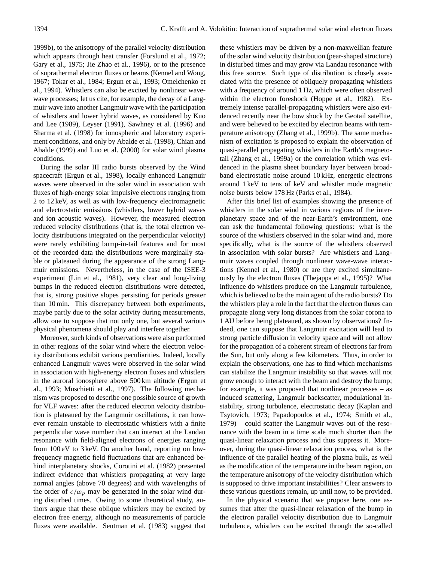1999b), to the anisotropy of the parallel velocity distribution which appears through heat transfer (Forslund et al., 1972; Gary et al., 1975; Jie Zhao et al., 1996), or to the presence of suprathermal electron fluxes or beams (Kennel and Wong, 1967; Tokar et al., 1984; Ergun et al., 1993; Omelchenko et al., 1994). Whistlers can also be excited by nonlinear wavewave processes; let us cite, for example, the decay of a Langmuir wave into another Langmuir wave with the participation of whistlers and lower hybrid waves, as considered by Kuo and Lee (1989), Leyser (1991), Sawhney et al. (1996) and Sharma et al. (1998) for ionospheric and laboratory experiment conditions, and only by Abalde et al. (1998), Chian and Abalde (1999) and Luo et al. (2000) for solar wind plasma conditions.

During the solar III radio bursts observed by the Wind spacecraft (Ergun et al., 1998), locally enhanced Langmuir waves were observed in the solar wind in association with fluxes of high-energy solar impulsive electrons ranging from 2 to 12 keV, as well as with low-frequency electromagnetic and electrostatic emissions (whistlers, lower hybrid waves and ion acoustic waves). However, the measured electron reduced velocity distributions (that is, the total electron velocity distributions integrated on the perpendicular velocity) were rarely exhibiting bump-in-tail features and for most of the recorded data the distributions were marginally stable or plateaued during the appearance of the strong Langmuir emissions. Nevertheless, in the case of the ISEE-3 experiment (Lin et al., 1981), very clear and long-living bumps in the reduced electron distributions were detected, that is, strong positive slopes persisting for periods greater than 10 min. This discrepancy between both experiments, maybe partly due to the solar activity during measurements, allow one to suppose that not only one, but several various physical phenomena should play and interfere together.

Moreover, such kinds of observations were also performed in other regions of the solar wind where the electron velocity distributions exhibit various peculiarities. Indeed, locally enhanced Langmuir waves were observed in the solar wind in association with high-energy electron fluxes and whistlers in the auroral ionosphere above 500 km altitude (Ergun et al., 1993; Muschietti et al., 1997). The following mechanism was proposed to describe one possible source of growth for VLF waves: after the reduced electron velocity distribution is plateaued by the Langmuir oscillations, it can however remain unstable to electrostatic whistlers with a finite perpendicular wave number that can interact at the Landau resonance with field-aligned electrons of energies ranging from 100 eV to 3 keV. On another hand, reporting on lowfrequency magnetic field fluctuations that are enhanced behind interplanetary shocks, Corotini et al. (1982) presented indirect evidence that whistlers propagating at very large normal angles (above 70 degrees) and with wavelengths of the order of  $c/\omega_p$  may be generated in the solar wind during disturbed times. Owing to some theoretical study, authors argue that these oblique whistlers may be excited by electron free energy, although no measurements of particle fluxes were available. Sentman et al. (1983) suggest that these whistlers may be driven by a non-maxwellian feature of the solar wind velocity distribution (pear-shaped structure) in disturbed times and may grow via Landau resonance with this free source. Such type of distribution is closely associated with the presence of obliquely propagating whistlers with a frequency of around 1 Hz, which were often observed within the electron foreshock (Hoppe et al., 1982). Extremely intense parallel-propagating whistlers were also evidenced recently near the bow shock by the Geotail satellite, and were believed to be excited by electron beams with temperature anisotropy (Zhang et al., 1999b). The same mechanism of excitation is proposed to explain the observation of quasi-parallel propagating whistlers in the Earth's magnetotail (Zhang et al., 1999a) or the correlation which was evidenced in the plasma sheet boundary layer between broadband electrostatic noise around 10 kHz, energetic electrons around 1 keV to tens of keV and whistler mode magnetic noise bursts below 178 Hz (Parks et al., 1984).

After this brief list of examples showing the presence of whistlers in the solar wind in various regions of the interplanetary space and of the near-Earth's environment, one can ask the fundamental following questions: what is the source of the whistlers observed in the solar wind and, more specifically, what is the source of the whistlers observed in association with solar bursts? Are whistlers and Langmuir waves coupled through nonlinear wave-wave interactions (Kennel et al., 1980) or are they excited simultaneously by the electron fluxes (Thejappa et al., 1995)? What influence do whistlers produce on the Langmuir turbulence, which is believed to be the main agent of the radio bursts? Do the whistlers play a role in the fact that the electron fluxes can propagate along very long distances from the solar corona to 1 AU before being plateaued, as shown by observations? Indeed, one can suppose that Langmuir excitation will lead to strong particle diffusion in velocity space and will not allow for the propagation of a coherent stream of electrons far from the Sun, but only along a few kilometers. Thus, in order to explain the observations, one has to find which mechanisms can stabilize the Langmuir instability so that waves will not grow enough to interact with the beam and destroy the bump; for example, it was proposed that nonlinear processes – as induced scattering, Langmuir backscatter, modulational instability, strong turbulence, electrostatic decay (Kaplan and Tsytovich, 1973; Papadopoulos et al., 1974; Smith et al., 1979) – could scatter the Langmuir waves out of the resonance with the beam in a time scale much shorter than the quasi-linear relaxation process and thus suppress it. Moreover, during the quasi-linear relaxation process, what is the influence of the parallel heating of the plasma bulk, as well as the modification of the temperature in the beam region, on the temperature anisotropy of the velocity distribution which is supposed to drive important instabilities? Clear answers to these various questions remain, up until now, to be provided.

In the physical scenario that we propose here, one assumes that after the quasi-linear relaxation of the bump in the electron parallel velocity distribution due to Langmuir turbulence, whistlers can be excited through the so-called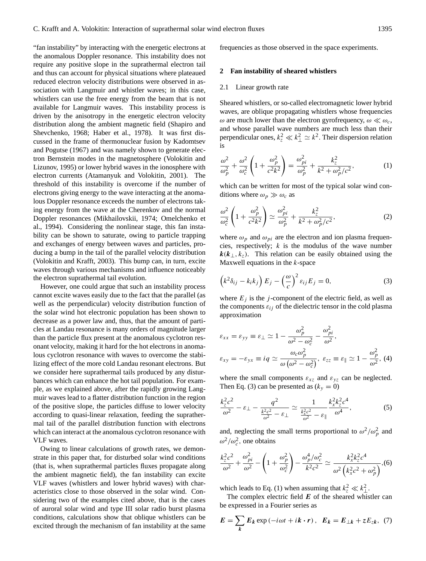"fan instability" by interacting with the energetic electrons at the anomalous Doppler resonance. This instability does not require any positive slope in the suprathermal electron tail and thus can account for physical situations where plateaued reduced electron velocity distributions were observed in association with Langmuir and whistler waves; in this case, whistlers can use the free energy from the beam that is not available for Langmuir waves. This instability process is driven by the anisotropy in the energetic electron velocity distribution along the ambient magnetic field (Shapiro and Shevchenko, 1968; Haber et al., 1978). It was first discussed in the frame of thermonuclear fusion by Kadomtsev and Pogutse (1967) and was namely shown to generate electron Bernstein modes in the magnetosphere (Volokitin and Lizunov, 1995) or lower hybrid waves in the ionosphere with electron currents (Atamanyuk and Volokitin, 2001). The threshold of this instability is overcome if the number of electrons giving energy to the wave interacting at the anomalous Doppler resonance exceeds the number of electrons taking energy from the wave at the Cherenkov and the normal Doppler resonances (Mikhailovskii, 1974; Omelchenko et al., 1994). Considering the nonlinear stage, this fan instability can be shown to saturate, owing to particle trapping and exchanges of energy between waves and particles, producing a bump in the tail of the parallel velocity distribution (Volokitin and Krafft, 2003). This bump can, in turn, excite waves through various mechanisms and influence noticeably the electron suprathermal tail evolution.

However, one could argue that such an instability process cannot excite waves easily due to the fact that the parallel (as well as the perpendicular) velocity distribution function of the solar wind hot electronic population has been shown to decrease as a power law and, thus, that the amount of particles at Landau resonance is many orders of magnitude larger than the particle flux present at the anomalous cyclotron resonant velocity, making it hard for the hot electrons in anomalous cyclotron resonance with waves to overcome the stabilizing effect of the more cold Landau resonant electrons. But we consider here suprathermal tails produced by any disturbances which can enhance the hot tail population. For example, as we explained above, after the rapidly growing Langmuir waves lead to a flatter distribution function in the region of the positive slope, the particles diffuse to lower velocity according to quasi-linear relaxation, feeding the suprathermal tail of the parallel distribution function with electrons which can interact at the anomalous cyclotron resonance with VLF waves.

Owing to linear calculations of growth rates, we demonstrate in this paper that, for disturbed solar wind conditions (that is, when suprathermal particles fluxes propagate along the ambient magnetic field), the fan instability can excite VLF waves (whistlers and lower hybrid waves) with characteristics close to those observed in the solar wind. Considering two of the examples cited above, that is the cases of auroral solar wind and type III solar radio burst plasma conditions, calculations show that oblique whistlers can be excited through the mechanism of fan instability at the same

frequencies as those observed in the space experiments.

#### **2 Fan instability of sheared whistlers**

#### 2.1 Linear growth rate

Sheared whistlers, or so-called electromagnetic lower hybrid waves, are oblique propagating whistlers whose frequencies  $\omega$  are much lower than the electron gyrofrequency,  $\omega \ll \omega_c$ , and whose parallel wave numbers are much less than their perpendicular ones,  $k_z^2 \ll k_{\perp}^2 \simeq k^2$ . Their dispersion relation is

$$
\frac{\omega^2}{\omega_p^2} + \frac{\omega^2}{\omega_c^2} \left( 1 + \frac{\omega_p^2}{c^2 k^2} \right) = \frac{\omega_{pi}^2}{\omega_p^2} + \frac{k_z^2}{k^2 + \omega_p^2/c^2},\tag{1}
$$

which can be written for most of the typical solar wind conditions where  $\omega_p \gg \omega_c$  as

$$
\frac{\omega^2}{\omega_c^2} \left( 1 + \frac{\omega_p^2}{c^2 k^2} \right) \simeq \frac{\omega_{pi}^2}{\omega_p^2} + \frac{k_z^2}{k^2 + \omega_p^2/c^2},\tag{2}
$$

where  $\omega_p$  and  $\omega_{pi}$  are the electron and ion plasma frequencies, respectively;  $k$  is the modulus of the wave number  $k(k_{\perp}, k_z)$ . This relation can be easily obtained using the Maxwell equations in the  $k$ -space

$$
\left(k^2 \delta_{ij} - k_i k_j\right) E_j - \left(\frac{\omega}{c}\right)^2 \varepsilon_{ij} E_j = 0, \tag{3}
$$

where  $E_j$  is the j-component of the electric field, as well as the components  $\varepsilon_{ij}$  of the dielectric tensor in the cold plasma approximation

$$
\varepsilon_{xx} = \varepsilon_{yy} \equiv \varepsilon_{\perp} \simeq 1 - \frac{\omega_p^2}{\omega^2 - \omega_c^2} - \frac{\omega_{pi}^2}{\omega^2},
$$
  

$$
\varepsilon_{xy} = -\varepsilon_{yx} \equiv iq \simeq \frac{\omega_c \omega_p^2}{\omega (\omega^2 - \omega_c^2)}, \ \varepsilon_{zz} \equiv \varepsilon_{\parallel} \simeq 1 - \frac{\omega_p^2}{\omega^2}, \ (4)
$$

where the small components  $\varepsilon_{xz}$  and  $\varepsilon_{yz}$  can be neglected. Then Eq. (3) can be presented as  $(k_y = 0)$ 

$$
\frac{k_{z}^{2}c^{2}}{\omega^{2}} - \varepsilon_{\perp} - \frac{q^{2}}{\frac{k^{2}c^{2}}{\omega^{2}} - \varepsilon_{\perp}} \simeq \frac{1}{\frac{k_{x}^{2}c^{2}}{\omega^{2}} - \varepsilon_{\parallel}} \frac{k_{x}^{2}k_{z}^{2}c^{4}}{\omega^{4}},
$$
(5)

and, neglecting the small terms proportional to  $\omega^2/\omega_p^2$  and  $\omega^2/\omega_c^2$ , one obtains

$$
\frac{k_{z}^{2}c^{2}}{\omega^{2}} + \frac{\omega_{pi}^{2}}{\omega^{2}} - \left(1 + \frac{\omega_{p}^{2}}{\omega_{c}^{2}}\right) - \frac{\omega_{p}^{4}/\omega_{c}^{2}}{k^{2}c^{2}} \simeq \frac{k_{x}^{2}k_{z}^{2}c^{4}}{\omega^{2}\left(k_{x}^{2}c^{2} + \omega_{p}^{2}\right)},
$$
(6)

which leads to Eq. (1) when assuming that  $k_z^2 \ll k_{\perp}^2$ .

The complex electric field  $E$  of the sheared whistler can be expressed in a Fourier series as

$$
E = \sum_{k} E_k \exp(-i\omega t + i\mathbf{k} \cdot \mathbf{r}), \quad E_k = E_{\perp k} + zE_{zk}, \tag{7}
$$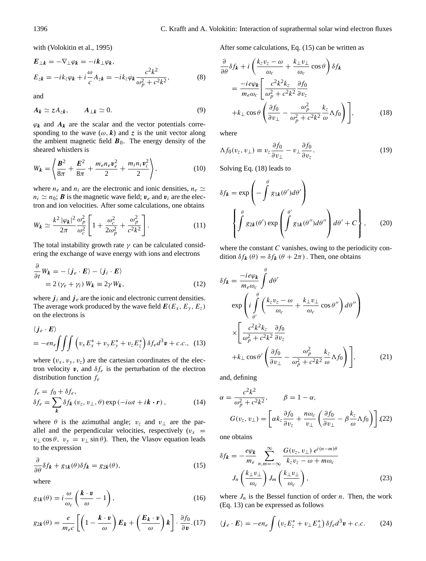with (Volokitin et al., 1995)

$$
E_{\perp k} = -\nabla_{\perp} \varphi_k = -ik_{\perp} \varphi_k,
$$
  
\n
$$
E_{zk} = -ik_z \varphi_k + i \frac{\omega}{c} A_{zk} = -ik_z \varphi_k \frac{c^2 k^2}{\omega_p^2 + c^2 k^2},
$$
\n(8)

and

$$
A_k \simeq z A_{zk}, \qquad A_{\perp k} \simeq 0. \tag{9}
$$

 $\varphi_k$  and  $A_k$  are the scalar and the vector potentials corresponding to the wave  $(\omega, k)$  and z is the unit vector along the ambient magnetic field  $\mathbf{B}_0$ . The energy density of the sheared whistlers is

$$
W_k = \left\langle \frac{\mathbf{B}^2}{8\pi} + \frac{\mathbf{E}^2}{8\pi} + \frac{m_e n_e v_e^2}{2} + \frac{m_i n_i v_i^2}{2} \right\rangle, \tag{10}
$$

where  $n_e$  and  $n_i$  are the electronic and ionic densities,  $n_e \simeq$  $n_i \simeq n_0$ ; **B** is the magnetic wave field;  $v_e$  and  $v_i$  are the electron and ion velocities. After some calculations, one obtains

$$
W_k \simeq \frac{k^2 |\varphi_k|^2}{2\pi} \frac{\omega_p^2}{\omega_c^2} \left[ 1 + \frac{\omega_c^2}{2\omega_p^2} + \frac{\omega_p^2}{c^2 k^2} \right].
$$
 (11)

The total instability growth rate  $\gamma$  can be calculated considering the exchange of wave energy with ions and electrons

$$
\frac{\partial}{\partial t}W_k = -\langle \mathbf{j}_e \cdot \mathbf{E} \rangle - \langle \mathbf{j}_i \cdot \mathbf{E} \rangle
$$
  
= 2(\gamma\_e + \gamma\_i) W\_k = 2\gamma W\_k, (12)

where  $j_i$  and  $j_e$  are the ionic and electronic current densities. The average work produced by the wave field  $E(E_x, E_y, E_z)$ on the electrons is

$$
\langle \mathbf{j}_e \cdot \mathbf{E} \rangle
$$
  
=  $-en_e \int \int \int \left( v_x E_x^* + v_y E_y^* + v_z E_z^* \right) \delta f_e d^3 \mathbf{v} + c.c.,$  (13)

where  $(v_x, v_y, v_z)$  are the cartesian coordinates of the electron velocity  $v$ , and  $\delta f_e$  is the perturbation of the electron distribution function  $f_e$ 

$$
f_e = f_0 + \delta f_e,
$$
  
\n
$$
\delta f_e = \sum_{\mathbf{k}} \delta f_{\mathbf{k}} (v_z, v_\perp, \theta) \exp(-i\omega t + i\mathbf{k} \cdot \mathbf{r}),
$$
\n(14)

where  $\theta$  is the azimuthal angle;  $v_z$  and  $v_\perp$  are the parallel and the perpendicular velocities, respectively  $(v_x$  =  $v_{\perp}$  cos  $\theta$ ,  $v_{y} = v_{\perp} \sin \theta$ ). Then, the Vlasov equation leads to the expression

$$
\frac{\partial}{\partial \theta} \delta f_{\mathbf{k}} + g_{1\mathbf{k}}(\theta) \delta f_{\mathbf{k}} = g_{2\mathbf{k}}(\theta), \tag{15}
$$

where

$$
g_{1k}(\theta) = i \frac{\omega}{\omega_c} \left( \frac{k \cdot v}{\omega} - 1 \right), \tag{16}
$$

$$
g_{2k}(\theta) = \frac{e}{m_e c} \left[ \left( 1 - \frac{k \cdot v}{\omega} \right) E_k + \left( \frac{E_k \cdot v}{\omega} \right) k \right] \cdot \frac{\partial f_0}{\partial v} . (17)
$$

After some calculations, Eq. (15) can be written as

$$
\frac{\partial}{\partial \theta} \delta f_{\mathbf{k}} + i \left( \frac{k_z v_z - \omega}{\omega_c} + \frac{k_\perp v_\perp}{\omega_c} \cos \theta \right) \delta f_{\mathbf{k}}
$$

$$
= \frac{-ie\varphi_{\mathbf{k}}}{m_e \omega_c} \left[ \frac{c^2 k^2 k_z}{\omega_p^2 + c^2 k^2} \frac{\partial f_0}{\partial v_z} + k_\perp \cos \theta \left( \frac{\partial f_0}{\partial v_\perp} - \frac{\omega_p^2}{\omega_p^2 + c^2 k^2} \frac{k_z}{\omega} \Lambda f_0 \right) \right], \tag{18}
$$

where

$$
\Lambda f_0(v_z, v_\perp) \equiv v_z \frac{\partial f_0}{\partial v_\perp} - v_\perp \frac{\partial f_0}{\partial v_z}.\tag{19}
$$

Solving Eq. (18) leads to

$$
\delta f_{\mathbf{k}} = \exp\left(-\int_{-\infty}^{\theta} g_{1\mathbf{k}}(\theta') d\theta'\right)
$$

$$
\left\{\int_{-\infty}^{\theta} g_{2\mathbf{k}}(\theta') \exp\left(\int_{-\infty}^{\theta'} g_{1\mathbf{k}}(\theta'') d\theta''\right) d\theta' + C\right\},\qquad(20)
$$

where the constant  $C$  vanishes, owing to the periodicity condition  $\delta f_k(\theta) = \delta f_k(\theta + 2\pi)$ . Then, one obtains

$$
\delta f_{\mathbf{k}} = \frac{-ie\varphi_{\mathbf{k}}}{m_{e}\omega_{c}} \int_{0}^{\theta} d\theta'
$$
  
\n
$$
\exp\left(i \int_{\theta'}^{\theta} \left(\frac{k_{z}v_{z} - \omega}{\omega_{c}} + \frac{k_{\perp}v_{\perp}}{\omega_{c}} \cos \theta''\right) d\theta''\right)
$$
  
\n
$$
\times \left[\frac{c^{2}k^{2}k_{z}}{\omega_{p}^{2} + c^{2}k^{2}} \frac{\partial f_{0}}{\partial v_{z}} + k_{\perp} \cos \theta' \left(\frac{\partial f_{0}}{\partial v_{\perp}} - \frac{\omega_{p}^{2}}{\omega_{p}^{2} + c^{2}k^{2}} \frac{k_{z}}{\omega} \Lambda f_{0}\right)\right],
$$
\n(21)

and, defining

$$
\alpha = \frac{c^2 k^2}{\omega_p^2 + c^2 k^2}, \qquad \beta = 1 - \alpha,
$$
  

$$
G(v_z, v_\perp) = \left[ \alpha k_z \frac{\partial f_0}{\partial v_z} + \frac{n \omega_c}{v_\perp} \left( \frac{\partial f_0}{\partial v_\perp} - \beta \frac{k_z}{\omega} \Lambda f_0 \right) \right], (22)
$$

one obtains

$$
\delta f_k = -\frac{e\varphi_k}{m_e} \sum_{n,m=-\infty}^{\infty} \frac{G(v_z, v_\perp) e^{i(n-m)\theta}}{k_z v_z - \omega + m\omega_c}
$$

$$
J_n \left(\frac{k_\perp v_\perp}{\omega_c}\right) J_m \left(\frac{k_\perp v_\perp}{\omega_c}\right), \tag{23}
$$

where  $J_n$  is the Bessel function of order n. Then, the work (Eq. 13) can be expressed as follows

$$
\langle \boldsymbol{j}_e \cdot \boldsymbol{E} \rangle = -en_e \int \left( v_z E_z^* + v_\perp E_\perp^* \right) \delta f_e d^3 \boldsymbol{v} + c.c. \tag{24}
$$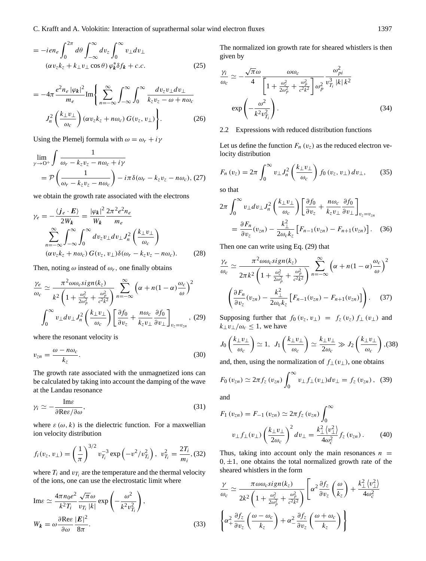$$
= -ien_e \int_0^{2\pi} d\theta \int_{-\infty}^{\infty} dv_z \int_0^{\infty} v_{\perp} dv_{\perp}
$$

$$
(\alpha v_z k_z + k_{\perp} v_{\perp} \cos \theta) \varphi_k^* \delta f_k + c.c.
$$
 (25)

$$
= -4\pi \frac{e^2 n_e |\varphi_k|^2}{m_e} \text{Im}\left\{\sum_{n=-\infty}^{\infty} \int_{-\infty}^{\infty} \int_0^{\infty} \frac{dv_z v_{\perp} dv_{\perp}}{k_z v_z - \omega + n\omega_c} \right\}
$$

$$
J_n^2 \left(\frac{k_{\perp} v_{\perp}}{\omega_c}\right) (\alpha v_z k_z + n\omega_c) G(v_z, v_{\perp})\right\}.
$$
(26)

Using the Plemelj formula with  $\omega = \omega_r + i\gamma$ 

$$
\lim_{\gamma \to 0^+} \int \frac{1}{\omega_r - k_z v_z - n\omega_c + i\gamma} = \mathcal{P}\left(\frac{1}{\omega_r - k_z v_z - n\omega_c}\right) - i\pi \delta(\omega_r - k_z v_z - n\omega_c), (27)
$$

we obtain the growth rate associated with the electrons

$$
\gamma_e = -\frac{\langle j_e \cdot E \rangle}{2W_k} = \frac{|\varphi_k|^2}{W_k} \frac{2\pi^2 e^2 n_e}{m_e}
$$

$$
\sum_{n=-\infty}^{\infty} \int_{-\infty}^{\infty} \int_0^{\infty} dv_z v_\perp dv_\perp J_n^2 \left( \frac{k_\perp v_\perp}{\omega_c} \right)
$$

$$
(\alpha v_z k_z + n\omega_c) G(v_z, v_\perp) \delta(\omega_r - k_z v_z - n\omega_c). \tag{28}
$$

Then, noting  $\omega$  instead of  $\omega_r$ , one finally obtains

$$
\frac{\gamma_e}{\omega_c} \simeq \frac{\pi^2 \omega \omega_c sign(k_z)}{k^2 \left(1 + \frac{\omega_c^2}{2\omega_p^2} + \frac{\omega_p^2}{c^2 k^2}\right)} \sum_{n = -\infty}^{\infty} \left(\alpha + n(1 - \alpha)\frac{\omega_c}{\omega}\right)^2
$$

$$
\int_0^{\infty} v_\perp dv_\perp J_n^2 \left(\frac{k_\perp v_\perp}{\omega_c}\right) \left[\frac{\partial f_0}{\partial v_z} + \frac{n\omega_c}{k_z v_\perp} \frac{\partial f_0}{\partial v_\perp}\right]_{v_z = v_{zn}}, \tag{29}
$$

where the resonant velocity is

$$
v_{zn} = \frac{\omega - n\omega_c}{k_z}.
$$
\n(30)

The growth rate associated with the unmagnetized ions can be calculated by taking into account the damping of the wave at the Landau resonance

$$
\gamma_i \simeq -\frac{\text{Im}\varepsilon}{\partial \text{Re}\varepsilon/\partial \omega},\tag{31}
$$

where  $\varepsilon(\omega, k)$  is the dielectric function. For a maxwellian ion velocity distribution

$$
f_i(v_z, v_\perp) = \left(\frac{1}{\pi}\right)^{3/2} v_{T_i}^{-3} \exp\left(-v^2/v_{T_i}^2\right), \ v_{T_i}^2 = \frac{2T_i}{m_i}, \text{(32)}
$$

where  $T_i$  and  $v_{T_i}$  are the temperature and the thermal velocity of the ions, one can use the electrostatic limit where

$$
\text{Im}\varepsilon \simeq \frac{4\pi n_0 e^2}{k^2 T_i} \frac{\sqrt{\pi} \omega}{v_{T_i} |k|} \exp\left(-\frac{\omega^2}{k^2 v_{T_i}^2}\right),
$$
  

$$
W_k = \omega \frac{\partial \text{Re}\varepsilon}{\partial \omega} \frac{|E|^2}{8\pi}.
$$
 (33)

The normalized ion growth rate for sheared whistlers is then given by

$$
\frac{\gamma_i}{\omega_c} \simeq -\frac{\sqrt{\pi}\omega}{4} \frac{\omega \omega_c}{\left[1 + \frac{\omega_c^2}{2\omega_p^2} + \frac{\omega_p^2}{c^2 k^2}\right] \omega_p^2} \frac{\omega_{pi}^2}{v_{T_i}^3 |k| k^2}
$$

$$
\exp\left(-\frac{\omega^2}{k^2 v_{T_i}^2}\right). \tag{34}
$$

## 2.2 Expressions with reduced distribution functions

Let us define the function  $F_n(v_z)$  as the reduced electron velocity distribution

$$
F_n(v_z) = 2\pi \int_0^\infty v_\perp J_n^2\left(\frac{k_\perp v_\perp}{\omega_c}\right) f_0(v_z, v_\perp) \, dv_\perp,\qquad(35)
$$

so that

$$
2\pi \int_0^\infty v_\perp dv_\perp J_n^2 \left(\frac{k_\perp v_\perp}{\omega_c}\right) \left[\frac{\partial f_0}{\partial v_z} + \frac{n\omega_c}{k_z v_\perp} \frac{\partial f_0}{\partial v_\perp}\right]_{v_z = v_{zn}} = \frac{\partial F_n}{\partial v_z} (v_{zn}) - \frac{k_\perp^2}{2\omega_c k_z} \left[F_{n-1}(v_{zn}) - F_{n+1}(v_{zn})\right].
$$
 (36)

Then one can write using Eq. (29) that

$$
\frac{\gamma_e}{\omega_c} \simeq \frac{\pi^2 \omega \omega_c sign(k_z)}{2\pi k^2 \left(1 + \frac{\omega_c^2}{2\omega_p^2} + \frac{\omega_p^2}{c^2 k^2}\right)} \sum_{n=-\infty}^{\infty} \left(\alpha + n(1 - \alpha)\frac{\omega_c}{\omega}\right)^2
$$

$$
\left(\frac{\partial F_n}{\partial v_z}(v_{zn}) - \frac{k_\perp^2}{2\omega_c k_z} \left[F_{n-1}(v_{zn}) - F_{n+1}(v_{zn})\right]\right). \quad (37)
$$

Supposing further that  $f_0(v_z, v_\perp) = f_z(v_z) f_\perp(v_\perp)$  and  $k_{\perp}v_{\perp}/\omega_c \leq 1$ , we have

$$
J_0\left(\frac{k_{\perp}v_{\perp}}{\omega_c}\right) \simeq 1, \ J_1\left(\frac{k_{\perp}v_{\perp}}{\omega_c}\right) \simeq \frac{k_{\perp}v_{\perp}}{2\omega_c} \gg J_2\left(\frac{k_{\perp}v_{\perp}}{\omega_c}\right), (38)
$$

and, then, using the normalization of  $f_{\perp}(v_{\perp})$ , one obtains

$$
F_0(v_{zn}) \simeq 2\pi f_z(v_{zn}) \int_0^\infty v_\perp f_\perp(v_\perp) dv_\perp = f_z(v_{zn}), \quad (39)
$$

and

$$
F_1(v_{zn}) = F_{-1}(v_{zn}) \simeq 2\pi f_z(v_{zn}) \int_0^\infty
$$
  

$$
v_{\perp} f_{\perp}(v_{\perp}) \left(\frac{k_{\perp} v_{\perp}}{2\omega_c}\right)^2 dv_{\perp} = \frac{k_{\perp}^2 \langle v_{\perp}^2 \rangle}{4\omega_c^2} f_z(v_{zn}). \tag{40}
$$

Thus, taking into account only the main resonances  $n =$  $0, \pm 1$ , one obtains the total normalized growth rate of the sheared whistlers in the form

$$
\frac{\gamma}{\omega_c} \simeq \frac{\pi \omega \omega_c sign(k_z)}{2k^2 \left(1 + \frac{\omega_c^2}{2\omega_p^2} + \frac{\omega_p^2}{c^2 k^2}\right)} \left[\alpha^2 \frac{\partial f_z}{\partial v_z} \left(\frac{\omega}{k_z}\right) + \frac{k_\perp^2 \left(v_\perp^2\right)}{4\omega_c^2}\right]
$$
\n
$$
\left\{\alpha_+^2 \frac{\partial f_z}{\partial v_z} \left(\frac{\omega - \omega_c}{k_z}\right) + \alpha_-^2 \frac{\partial f_z}{\partial v_z} \left(\frac{\omega + \omega_c}{k_z}\right)\right\}
$$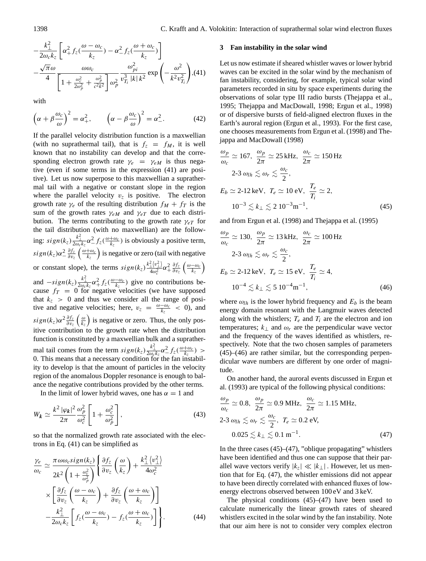$$
-\frac{k_{\perp}^{2}}{2\omega_{c}k_{z}}\left[\alpha_{+}^{2}f_{z}(\frac{\omega-\omega_{c}}{k_{z}})-\alpha_{-}^{2}f_{z}(\frac{\omega+\omega_{c}}{k_{z}})\right]
$$

$$
-\frac{\sqrt{\pi}\omega}{4}\frac{\omega\omega_{c}}{\left[1+\frac{\omega_{c}^{2}}{2\omega_{p}^{2}}+\frac{\omega_{p}^{2}}{c^{2}k^{2}}\right]\omega_{p}^{2}}\frac{\omega_{pi}^{2}}{v_{T_{i}}^{3}|k|k^{2}}\exp\left(-\frac{\omega^{2}}{k^{2}v_{T_{i}}^{2}}\right),(41)
$$

with

$$
\left(\alpha + \beta \frac{\omega_c}{\omega}\right)^2 = \alpha_+^2, \qquad \left(\alpha - \beta \frac{\omega_c}{\omega}\right)^2 = \alpha_-^2. \tag{42}
$$

If the parallel velocity distribution function is a maxwellian (with no suprathermal tail), that is  $f_z = f_M$ , it is well known that no instability can develop and that the corresponding electron growth rate  $\gamma_e = \gamma_{eM}$  is thus negative (even if some terms in the expression (41) are positive). Let us now superpose to this maxwellian a suprathermal tail with a negative or constant slope in the region where the parallel velocity  $v_z$  is positive. The electron growth rate  $\gamma_e$  of the resulting distribution  $f_M + f_T$  is the sum of the growth rates  $\gamma_{eM}$  and  $\gamma_{eT}$  due to each distribution. The terms contributing to the growth rate  $\gamma_{eT}$  for the tail distribution (with no maxwellian) are the following:  $sign(k_z) \frac{k_{\perp}^2}{2\omega_c k_z} \alpha_{-}^2 f_z(\frac{\omega + \omega_c}{k_z})$  is obviously a positive term,  $sign(k_z)\alpha_-^2\frac{\partial f_z}{\partial v_z}$  $\frac{\partial f_z}{\partial v_z} \left( \frac{\omega + \omega_c}{k_z} \right)$  is negative or zero (tail with negative or constant slope), the terms  $sign(k_z) \frac{k_{\perp}^2 \langle v_{\perp}^2 \rangle}{4\omega^2}$  $rac{\angle (v_\perp^2)}{4\omega_c^2} \alpha_\perp^2 \frac{\partial f_z}{\partial v_z}$  $\frac{\partial f_z}{\partial v_z}\left(\frac{\omega-\omega_c}{k_z}\right)$ and  $-sign(k_z)\frac{k_{\perp}^2}{2\omega_c k_z}\alpha_{+}^2 f_z(\frac{\omega-\omega_c}{k_z})$  give no contributions because  $f_T = 0$  for negative velocities (we have supposed that  $k_z > 0$  and thus we consider all the range of positive and negative velocities; here,  $v_z = \frac{\omega - \omega_c}{k_z} < 0$ , and  $sign(k_z)\alpha^2\frac{\partial f_z}{\partial v_z}\left(\frac{\omega}{k_z}\right)$  is negative or zero. Thus, the only positive contribution to the growth rate when the distribution function is constituted by a maxwellian bulk and a suprathermal tail comes from the term  $sign(k_z) \frac{k_{\perp}^2}{2\omega_{g}k_z} \alpha_{-}^2 f_z(\frac{\omega + \omega_c}{k_z}) >$ 0. This means that a necessary condition for the fan instability to develop is that the amount of particles in the velocity region of the anomalous Doppler resonance is enough to balance the negative contributions provided by the other terms.

In the limit of lower hybrid waves, one has  $\alpha = 1$  and

$$
W_{\mathbf{k}} \simeq \frac{k^2 |\varphi_{\mathbf{k}}|^2}{2\pi} \frac{\omega_p^2}{\omega_c^2} \left[ 1 + \frac{\omega_c^2}{\omega_p^2} \right],\tag{43}
$$

so that the normalized growth rate associated with the electrons in Eq. (41) can be simplified as

$$
\frac{\gamma_e}{\omega_c} \simeq \frac{\pi \omega \omega_c sign(k_z)}{2k^2 \left(1 + \frac{\omega_c^2}{\omega_p^2}\right)} \left\{ \frac{\partial f_z}{\partial v_z} \left(\frac{\omega}{k_z}\right) + \frac{k_\perp^2 \left(v_\perp^2\right)}{4\omega_c^2} \right.\times \left[ \frac{\partial f_z}{\partial v_z} \left(\frac{\omega - \omega_c}{k_z}\right) + \frac{\partial f_z}{\partial v_z} \left(\frac{\omega + \omega_c}{k_z}\right) \right] \left. - \frac{k_\perp^2}{2\omega_c k_z} \left[ f_z \left(\frac{\omega - \omega_c}{k_z}\right) - f_z \left(\frac{\omega + \omega_c}{k_z}\right) \right] \right\}.
$$
\n(44)

### **3 Fan instability in the solar wind**

Let us now estimate if sheared whistler waves or lower hybrid waves can be excited in the solar wind by the mechanism of fan instability, considering, for example, typical solar wind parameters recorded in situ by space experiments during the observations of solar type III radio bursts (Thejappa et al., 1995; Thejappa and MacDowall, 1998; Ergun et al., 1998) or of dispersive bursts of field-aligned electron fluxes in the Earth's auroral region (Ergun et al., 1993). For the first case, one chooses measurements from Ergun et al. (1998) and Thejappa and MacDowall (1998)

$$
\frac{\omega_p}{\omega_c} \simeq 167, \quad \frac{\omega_p}{2\pi} \simeq 25 \text{ kHz}, \quad \frac{\omega_c}{2\pi} \simeq 150 \text{ Hz}
$$
\n
$$
2\text{-}3 \omega_{lh} \lesssim \omega_r \lesssim \frac{\omega_c}{2},
$$
\n
$$
E_b \simeq 2\text{-}12 \text{ keV}, \quad T_e \simeq 10 \text{ eV}, \quad \frac{T_e}{T_i} \simeq 2,
$$
\n
$$
10^{-3} \lesssim k_\perp \lesssim 2 \ 10^{-3} \text{ m}^{-1}, \tag{45}
$$

and from Ergun et al. (1998) and Thejappa et al. (1995)

$$
\frac{\omega_p}{\omega_c} \simeq 130, \quad \frac{\omega_p}{2\pi} \simeq 13 \text{ kHz}, \quad \frac{\omega_c}{2\pi} \simeq 100 \text{ Hz}
$$
\n
$$
2\text{-}3 \omega_{lh} \lesssim \omega_r \lesssim \frac{\omega_c}{2},
$$
\n
$$
E_b \simeq 2\text{-}12 \text{ keV}, \quad T_e \simeq 15 \text{ eV}, \quad \frac{T_e}{T_i} \simeq 4,
$$
\n
$$
10^{-4} \lesssim k_\perp \lesssim 5 \ 10^{-4} \text{ m}^{-1}, \tag{46}
$$

where  $\omega_{lh}$  is the lower hybrid frequency and  $E_b$  is the beam energy domain resonant with the Langmuir waves detected along with the whistlers;  $T_e$  and  $T_i$  are the electron and ion temperatures;  $k_{\perp}$  and  $\omega_r$  are the perpendicular wave vector and the frequency of the waves identified as whistlers, respectively. Note that the two chosen samples of parameters (45)–(46) are rather similar, but the corresponding perpendicular wave numbers are different by one order of magnitude.

On another hand, the auroral events discussed in Ergun et al. (1993) are typical of the following physical conditions:

$$
\frac{\omega_p}{\omega_c} \simeq 0.8, \frac{\omega_p}{2\pi} \simeq 0.9 \text{ MHz}, \frac{\omega_c}{2\pi} \simeq 1.15 \text{ MHz},
$$
  
2-3  $\omega_{lh} \lesssim \omega_r \lesssim \frac{\omega_c}{2}, T_e \simeq 0.2 \text{ eV},$   
 $0.025 \lesssim k_\perp \lesssim 0.1 \text{ m}^{-1}.$  (47)

In the three cases  $(45)$ – $(47)$ , "oblique propagating" whistlers have been identified and thus one can suppose that their parallel wave vectors verify  $|k_z| \ll |k_\perp|$ . However, let us mention that for Eq. (47), the whistler emissions did not appear to have been directly correlated with enhanced fluxes of lowenergy electrons observed between 100 eV and 3 keV.

The physical conditions  $(45)$ – $(47)$  have been used to calculate numerically the linear growth rates of sheared whistlers excited in the solar wind by the fan instability. Note that our aim here is not to consider very complex electron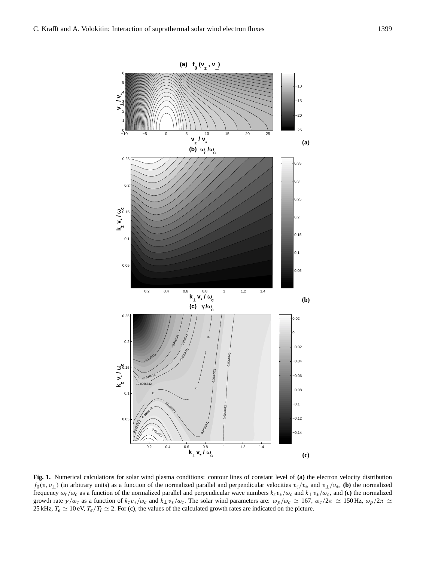

**Fig. 1.** Numerical calculations for solar wind plasma conditions: contour lines of constant level of **(a)** the electron velocity distribution  $f_0(v, v_\perp)$  (in arbitrary units) as a function of the normalized parallel and perpendicular velocities  $v_z/v_*$  and  $v_\perp/v_*$ , (b) the normalized frequency ωr /ωc as a function of the normalized parallel and perpendicular wave numbers kzv∗/ωc and k⊥v∗/ωc, and **(c)** the normalized growth rate  $\gamma/\omega_c$  as a function of  $k_zv_*/\omega_c$  and  $k_\perp v_*/\omega_c$ . The solar wind parameters are:  $\omega_p/\omega_c \approx 167$ ,  $\omega_c/2\pi \approx 150$  Hz,  $\omega_p/2\pi \approx$ 25 kHz,  $T_e \simeq 10 \text{ eV}$ ,  $T_e/T_i \simeq 2$ . For (c), the values of the calculated growth rates are indicated on the picture.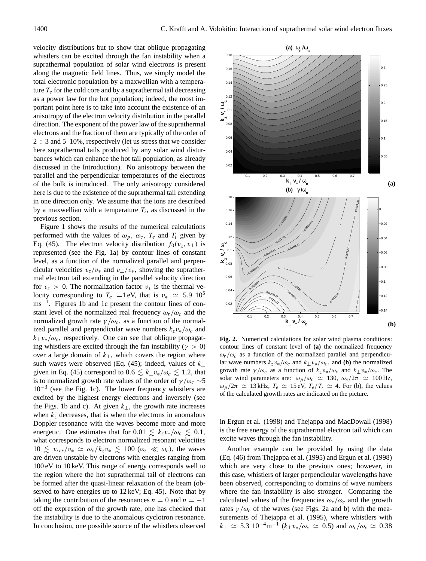velocity distributions but to show that oblique propagating whistlers can be excited through the fan instability when a suprathermal population of solar wind electrons is present along the magnetic field lines. Thus, we simply model the total electronic population by a maxwellian with a temperature  $T_e$  for the cold core and by a suprathermal tail decreasing as a power law for the hot population; indeed, the most important point here is to take into account the existence of an anisotropy of the electron velocity distribution in the parallel direction. The exponent of the power law of the suprathermal electrons and the fraction of them are typically of the order of  $2 \div 3$  and  $5{\text -}10\%$ , respectively (let us stress that we consider here suprathermal tails produced by any solar wind disturbances which can enhance the hot tail population, as already discussed in the Introduction). No anisotropy between the parallel and the perpendicular temperatures of the electrons of the bulk is introduced. The only anisotropy considered here is due to the existence of the suprathermal tail extending in one direction only. We assume that the ions are described by a maxwellian with a temperature  $T_i$ , as discussed in the previous section.

Figure 1 shows the results of the numerical calculations performed with the values of  $\omega_p$ ,  $\omega_c$ ,  $T_e$  and  $T_i$  given by Eq. (45). The electron velocity distribution  $f_0(v_z, v_\perp)$  is represented (see the Fig. 1a) by contour lines of constant level, as a function of the normalized parallel and perpendicular velocities  $v_z/v_*$  and  $v_\perp/v_*$ , showing the suprathermal electron tail extending in the parallel velocity direction for  $v_z > 0$ . The normalization factor  $v_*$  is the thermal velocity corresponding to  $T_e$  =1 eV, that is  $v_* \approx 5.9 \; 10^5$ ms<sup>-1</sup>. Figures 1b and 1c present the contour lines of constant level of the normalized real frequency  $\omega_r/\omega_c$  and the normalized growth rate  $\gamma/\omega_c$ , as a function of the normalized parallel and perpendicular wave numbers  $k_zv_*/\omega_c$  and  $k_{\perp}v_{*}/\omega_c$ , respectively. One can see that oblique propagating whistlers are excited through the fan instability ( $\gamma > 0$ ) over a large domain of  $k_{\perp}$ , which covers the region where such waves were observed (Eq. (45); indeed, values of  $k_{\perp}$ given in Eq. (45) correspond to  $0.6 \le k_{\perp}v_*/\omega_c \le 1.2$ , that is to normalized growth rate values of the order of  $\gamma/\omega_c \sim 5$ 10−<sup>3</sup> (see the Fig. 1c). The lower frequency whistlers are excited by the highest energy electrons and inversely (see the Figs. 1b and c). At given  $k_{\perp}$ , the growth rate increases when  $k<sub>z</sub>$  decreases, that is when the electrons in anomalous Doppler resonance with the waves become more and more energetic. One estimates that for  $0.01 \leq k_z v_*/\omega_c \leq 0.1$ , what corresponds to electron normalized resonant velocities  $10 \le v_{res}/v_* \simeq \omega_c/k_zv_* \le 100 \ (\omega_r \ll \omega_c)$ , the waves are driven unstable by electrons with energies ranging from 100 eV to 10 keV. This range of energy corresponds well to the region where the hot suprathermal tail of electrons can be formed after the quasi-linear relaxation of the beam (observed to have energies up to 12 keV; Eq. 45). Note that by taking the contribution of the resonances  $n = 0$  and  $n = -1$ off the expression of the growth rate, one has checked that the instability is due to the anomalous cyclotron resonance. In conclusion, one possible source of the whistlers observed

solar wind parameters are:  $\omega_p/\omega_c \simeq 130$ ,  $\omega_c/2\pi \simeq 100$  Hz,  $\omega_p/2\pi \simeq 13$  kHz,  $T_e \simeq 15$  eV,  $T_e/T_i \simeq 4$ . For (b), the values of the calculated growth rates are indicated on the picture.

in Ergun et al. (1998) and Thejappa and MacDowall (1998) is the free energy of the suprathermal electron tail which can excite waves through the fan instability.

Another example can be provided by using the data (Eq. (46) from Thejappa et al. (1995) and Ergun et al. (1998) which are very close to the previous ones; however, in this case, whistlers of larger perpendicular wavelengths have been observed, corresponding to domains of wave numbers where the fan instability is also stronger. Comparing the calculated values of the frequencies  $\omega_r/\omega_c$  and the growth rates  $\gamma/\omega_c$  of the waves (see Figs. 2a and b) with the measurements of Thejappa et al. (1995), where whistlers with  $k_{\perp} \simeq 5.3 \; 10^{-4} \text{m}^{-1} \left(k_{\perp} v_{*}/\omega_{c} \simeq 0.5\right)$  and  $\omega_{r}/\omega_{c} \simeq 0.38$ 



**0.1 0.2 0.3 0.4 0.5 0.6 0.7**<br>**k**<sub>⊥</sub> **v**<sub>∗</sub> / **ω**<sub>**c**</sub>

 **(b)** γ **/**ω **c**

0.023286

O.com

0.011641

−0.011641

−0.0069843

−0.0046562

 $-46562$ 

**A6562** 

−0.0069843

**D.**008843

−0.011641

 $\overline{\phantom{0}}$ 

URSZBY

0.0023281

 $0.002$ 

0

/

 $\overline{a}$ 

/

 $\overline{\phantom{a}}$ 

 $\frac{50}{6}$ 

 $023281 -$ 

0.0023281

 $\int$ 

0.0023281

0.05

−0.12

−0.1 −0.08

−0.06

−0.04

−0.02  $\mathsf{C}$ 

**(a)**

 $0.1$ 

0.15

0.2

0.25

0.3

0.02 0.04 0.06

0.04  $0.0$ 0.08  **k z s**<br>
⊳<sup>\*</sup> 0.1  $0.1$  $0.1$ 0.16 0.18

−0.023281

−0.011641

 $\diagup$ 0.00281

 $\hspace{0.1em}$ 

−0.0046562

0.0023281

**∕** 

−0.0046562

−0.00

−0.01<sup>1641</sup>

 $\diagup$ 10.002

 $98^{\circ}$ 

 $\overline{\phantom{0}}$  $^{0.0093}$ <sub>124</sub>

 $0.009$ 

−0.023281

0.0069843

0

 $0.08$  $\overline{0}$  $0.1$  $0.14$  $0.1$ 0.18

 **k z ν΄**<br>**ν**   **(a)** ω **r /**ω **c**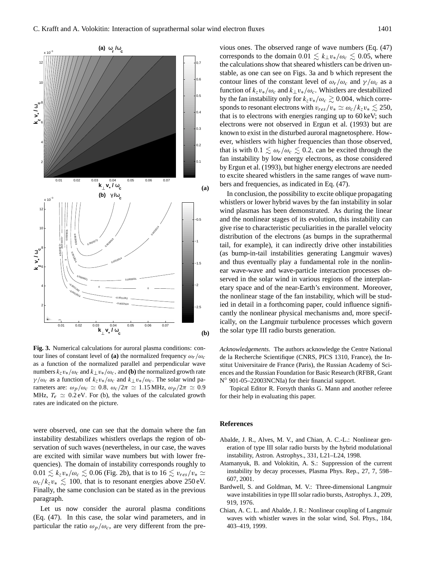

**Fig. 3.** Numerical calculations for auroral plasma conditions: contour lines of constant level of **(a)** the normalized frequency  $\omega_r/\omega_c$ as a function of the normalized parallel and perpendicular wave numbers  $k_7v_*/\omega_c$  and  $k_{\perp}v_*/\omega_c$ , and **(b)** the normalized growth rate  $\gamma/\omega_c$  as a function of  $k_zv_*/\omega_c$  and  $k_\perp v_*/\omega_c$ . The solar wind parameters are:  $\omega_p/\omega_c \simeq 0.8$ ,  $\omega_c/2\pi \simeq 1.15$  MHz,  $\omega_p/2\pi \simeq 0.9$ MHz,  $T_e \simeq 0.2$  eV. For (b), the values of the calculated growth rates are indicated on the picture.

were observed, one can see that the domain where the fan instability destabilizes whistlers overlaps the region of observation of such waves (nevertheless, in our case, the waves are excited with similar wave numbers but with lower frequencies). The domain of instability corresponds roughly to  $0.01 \lesssim k_zv_*/\omega_c \lesssim 0.06$  (Fig. 2b), that is to  $16 \lesssim v_{res}/v_* \simeq$  $\omega_c/k_zv_* \lesssim 100$ , that is to resonant energies above 250 eV. Finally, the same conclusion can be stated as in the previous paragraph.

Let us now consider the auroral plasma conditions (Eq. (47). In this case, the solar wind parameters, and in particular the ratio  $\omega_p/\omega_c$ , are very different from the previous ones. The observed range of wave numbers (Eq. (47) corresponds to the domain  $0.01 \leq k_{\perp}v_{*}/\omega_{c} \leq 0.05$ , where the calculations show that sheared whistlers can be driven unstable, as one can see on Figs. 3a and b which represent the contour lines of the constant level of  $\omega_r/\omega_c$  and  $\gamma/\omega_c$  as a function of  $k_zv_*/\omega_c$  and  $k_\perp v_*/\omega_c$ . Whistlers are destabilized by the fan instability only for  $k_zv_*/\omega_c \gtrsim 0.004$ , which corresponds to resonant electrons with  $v_{res}/v_* \simeq \omega_c/k_zv_* \lesssim 250$ , that is to electrons with energies ranging up to 60 keV; such electrons were not observed in Ergun et al. (1993) but are known to exist in the disturbed auroral magnetosphere. However, whistlers with higher frequencies than those observed, that is with  $0.1 \leq \omega_r/\omega_c \leq 0.2$ , can be excited through the fan instability by low energy electrons, as those considered by Ergun et al. (1993), but higher energy electrons are needed to excite sheared whistlers in the same ranges of wave numbers and frequencies, as indicated in Eq. (47).

In conclusion, the possibility to excite oblique propagating whistlers or lower hybrid waves by the fan instability in solar wind plasmas has been demonstrated. As during the linear and the nonlinear stages of its evolution, this instability can give rise to characteristic peculiarities in the parallel velocity distribution of the electrons (as bumps in the suprathermal tail, for example), it can indirectly drive other instabilities (as bump-in-tail instabilities generating Langmuir waves) and thus eventually play a fundamental role in the nonlinear wave-wave and wave-particle interaction processes observed in the solar wind in various regions of the interplanetary space and of the near-Earth's environment. Moreover, the nonlinear stage of the fan instability, which will be studied in detail in a forthcoming paper, could influence significantly the nonlinear physical mechanisms and, more specifically, on the Langmuir turbulence processes which govern the solar type III radio bursts generation.

*Acknowledgements.* The authors acknowledge the Centre National de la Recherche Scientifique (CNRS, PICS 1310, France), the Institut Universitaire de France (Paris), the Russian Academy of Sciences and the Russian Foundation for Basic Research (RFBR, Grant N ◦ 901-05–22003NCNIa) for their financial support.

Topical Editor R. Forsyth thanks G. Mann and another referee for their help in evaluating this paper.

## **References**

- Abalde, J. R., Alves, M. V., and Chian, A. C.-L.: Nonlinear generation of type III solar radio bursts by the hybrid modulational instability, Astron. Astrophys., 331, L21–L24, 1998.
- Atamanyuk, B. and Volokitin, A. S.: Suppression of the current instability by decay processes, Plasma Phys. Rep., 27, 7, 598– 607, 2001.
- Bardwell, S. and Goldman, M. V.: Three-dimensional Langmuir wave instabilities in type III solar radio bursts, Astrophys. J., 209, 919, 1976.
- Chian, A. C. L. and Abalde, J. R.: Nonlinear coupling of Langmuir waves with whistler waves in the solar wind, Sol. Phys., 184, 403–419, 1999.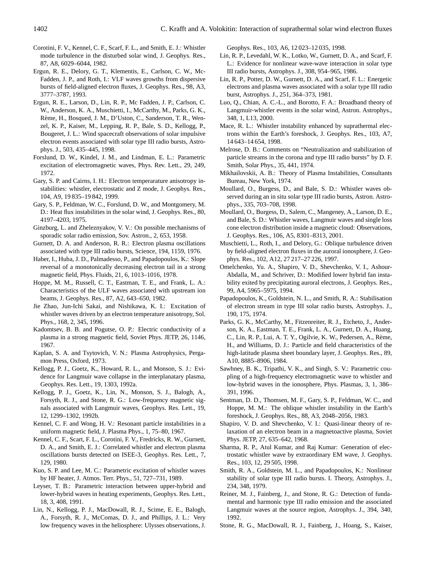- Corotini, F. V., Kennel, C. F., Scarf, F. L., and Smith, E. J.: Whistler mode turbulence in the disturbed solar wind, J. Geophys. Res., 87, A8, 6029–6044, 1982.
- Ergun, R. E., Delory, G. T., Klementis, E., Carlson, C. W., Mc-Fadden, J. P., and Roth, I.: VLF waves growths from dispersive bursts of field-aligned electron fluxes, J. Geophys. Res., 98, A3, 3777–3787, 1993.
- Ergun, R. E., Larson, D., Lin, R. P., Mc Fadden, J. P., Carlson, C. W., Anderson, K. A., Muschietti, I., McCarthy, M., Parks, G. K., Rème, H., Bosqued, J. M., D'Uston, C., Sanderson, T. R., Wenzel, K. P., Kaiser, M., Lepping, R. P., Bale, S. D., Kellogg, P., Bougeret, J. L.: Wind spacecraft observations of solar impulsive electron events associated with solar type III radio bursts, Astrophys. J., 503, 435–445, 1998.
- Forslund, D. W., Kindel, J. M., and Lindman, E. L.: Parametric excitation of electromagnetic waves, Phys. Rev. Lett., 29, 249, 1972.
- Gary, S. P. and Cairns, I. H.: Electron temperarature anisotropy instabilities: whistler, electrostatic and Z mode, J. Geophys. Res., 104, A9, 19 835–19 842, 1999.
- Gary, S. P., Feldman, W. C., Forslund, D. W., and Montgomery, M. D.: Heat flux instabilities in the solar wind, J. Geophys. Res., 80, 4197–4203, 1975.
- Ginzburg, L. and Zheleznyakov, V. V.: On possible mechanisms of sporadic solar radio emission, Sov. Astron., 2, 653, 1958.
- Gurnett, D. A. and Anderson, R. R.: Electron plasma oscillations associated with type III radio bursts, Science, 194, 1159, 1976.
- Haber, I., Huba, J. D., Palmadesso, P., and Papadopoulos, K.: Slope reversal of a monotonically decreasing electron tail in a strong magnetic field, Phys. Fluids, 21, 6, 1013–1016, 1978.
- Hoppe, M. M., Russell, C. T., Eastman, T. E., and Frank, L. A.: Characteristics of the ULF waves associated with upstream ion beams, J. Geophys. Res., 87, A2, 643–650, 1982.
- Jie Zhao, Jun-Ichi Sakai, and Nishikawa, K. I.: Excitation of whistler waves driven by an electron temperature anisotropy, Sol. Phys., 168, 2, 345, 1996.
- Kadomtsev, B. B. and Pogutse, O. P.: Electric conductivity of a plasma in a strong magnetic field, Soviet Phys. JETP, 26, 1146, 1967.
- Kaplan, S. A. and Tsytovich, V. N.: Plasma Astrophysics, Pergamon Press, Oxford, 1973.
- Kellogg, P. J., Goetz, K., Howard, R. L., and Monson, S. J.: Evidence for Langmuir wave collapse in the interplanatary plasma, Geophys. Res. Lett., 19, 1303, 1992a.
- Kellogg, P. J., Goetz, K., Lin, N., Monson, S. J., Balogh, A., Forsyth, R. J., and Stone, R. G.: Low-frequency magnetic signals associated with Langmuir waves, Geophys. Res. Lett., 19, 12, 1299–1302, 1992b.
- Kennel, C. F. and Wong, H. V.: Resonant particle instabilities in a uniform magnetic field, J. Plasma Phys., 1, 75–80, 1967.
- Kennel, C. F., Scart, F. L., Corotini, F. V., Fredricks, R. W., Gurnett, D. A., and Smith, E. J.: Correlated whistler and electron plasma oscillations bursts detected on ISEE-3, Geophys. Res. Lett., 7, 129, 1980.
- Kuo, S. P. and Lee, M. C.: Parametric excitation of whistler waves by HF heater, J. Atmos. Terr. Phys., 51, 727–731, 1989.
- Leyser, T. B.: Parametric interaction between upper-hybrid and lower-hybrid waves in heating experiments, Geophys. Res. Lett., 18, 3, 408, 1991.
- Lin, N., Kellogg, P. J., MacDowall, R. J., Scime, E. E., Balogh, A., Forsyth, R. J., McComas, D. J., and Phillips, J. L.: Very low frequency waves in the heliosphere: Ulysses observations, J.

Geophys. Res., 103, A6, 12 023–12 035, 1998.

- Lin, R. P., Levedahl, W. K., Lotko, W., Gurnett, D. A., and Scarf, F. L.: Evidence for nonlinear wave-wave interaction in solar type III radio bursts, Astrophys. J., 308, 954–965, 1986.
- Lin, R. P., Potter, D. W., Gurnett, D. A., and Scarf, F. L.: Energetic electrons and plasma waves associated with a solar type III radio burst, Astrophys. J., 251, 364–373, 1981.
- Luo, Q., Chian, A. C.-L., and Borotto, F. A.: Broadband theory of Langmuir-whistler events in the solar wind, Astron. Astrophys., 348, 1, L13, 2000.
- Mace, R. L.: Whistler instability enhanced by suprathermal electrons within the Earth's foreshock, J. Geophys. Res., 103, A7, 14 643–14 654, 1998.
- Melrose, D. B.: Comments on "Neutralization and stabilization of particle streams in the corona and type III radio bursts" by D. F. Smith, Solar Phys., 35, 441, 1974.
- Mikhailovskii, A. B.: Theory of Plasma Instabilities, Consultants Bureau, New York, 1974.
- Moullard, O., Burgess, D., and Bale, S. D.: Whistler waves observed during an in situ solar type III radio bursts, Astron. Astrophys., 335, 703–708, 1998.
- Moullard, O., Burgess, D., Salem, C., Mangeney, A., Larson, D. E., and Bale, S. D.: Whistler waves, Langmuir waves and single loss cone electron distribution inside a magnetic cloud: Observations, J. Geophys. Res., 106, A5, 8301–8313, 2001.
- Muschietti, L., Roth, I., and Delory, G.: Oblique turbulence driven by field-aligned electron fluxes in the auroral ionosphere, J. Geophys. Res., 102, A12, 27 217–27 226, 1997.
- Omelchenko, Yu. A., Shapiro, V. D., Shevchenko, V. I., Ashour-Abdalla, M., and Schriver, D.: Modified lower hybrid fan instability exited by precipitating auroral electrons, J. Geophys. Res., 99, A4, 5965–5975, 1994.
- Papadopoulos, K., Goldstein, N. L., and Smith, R. A.: Stabilisation of electron stream in type III solar radio bursts, Astrophys. J., 190, 175, 1974.
- Parks, G. K., McCarthy, M., Fitzenreiter, R. J., Etcheto, J., Anderson, K. A., Eastman, T. E., Frank, L. A., Gurnett, D. A., Huang, C., Lin, R. P., Lui, A. T. Y., Ogilvie, K. W., Pedersen, A., Reme, ` H., and Williams, D. J.: Particle and field characteristics of the high-latitude plasma sheet boundary layer, J. Geophys. Res., 89, A10, 8885–8906, 1984.
- Sawhney, B. K., Tripathi, V. K., and Singh, S. V.: Parametric coupling of a high-frequency electromagnetic wave to whistler and low-hybrid waves in the ionosphere, Phys. Plasmas, 3, 1, 386– 391, 1996.
- Sentman, D. D., Thomsen, M. F., Gary, S. P., Feldman, W. C., and Hoppe, M. M.: The oblique whistler instability in the Earth's foreshock, J. Geophys. Res., 88, A3, 2048–2056, 1983.
- Shapiro, V. D. and Shevchenko, V. I.: Quasi-linear theory of relaxation of an electron beam in a magnetoactive plasma, Soviet Phys. JETP, 27, 635–642, 1968.
- Sharma, R. P., Atul Kumar, and Raj Kumar: Generation of electrostatic whistler wave by extraordinary EM wave, J. Geophys. Res., 103, 12, 29 505, 1998.
- Smith, R. A., Goldstein, M. L., and Papadopoulos, K.: Nonlinear stability of solar type III radio bursts. I. Theory, Astrophys. J., 234, 348, 1979.
- Reiner, M. J., Fainberg, J., and Stone, R. G.: Detection of fundamental and harmonic type III radio emission and the associated Langmuir waves at the source region, Astrophys. J., 394, 340, 1992.
- Stone, R. G., MacDowall, R. J., Fainberg, J., Hoang, S., Kaiser,